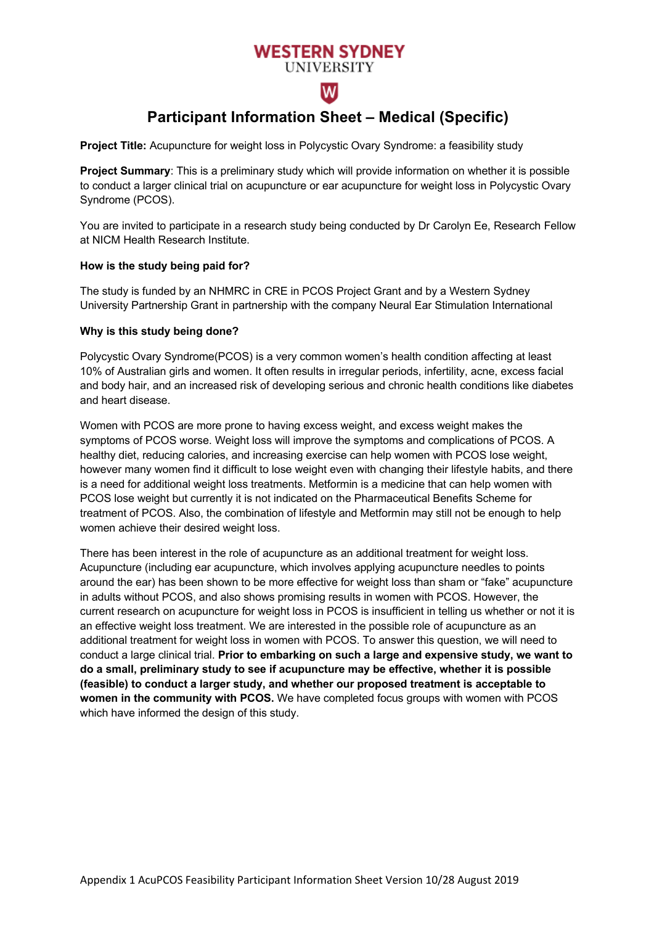# **WESTERN SYDNEY**

# **UNIVERSITY** w

# **Participant Information Sheet – Medical (Specific)**

**Project Title:** Acupuncture for weight loss in Polycystic Ovary Syndrome: a feasibility study

**Project Summary**: This is a preliminary study which will provide information on whether it is possible to conduct a larger clinical trial on acupuncture or ear acupuncture for weight loss in Polycystic Ovary Syndrome (PCOS).

You are invited to participate in a research study being conducted by Dr Carolyn Ee, Research Fellow at NICM Health Research Institute.

# **How is the study being paid for?**

The study is funded by an NHMRC in CRE in PCOS Project Grant and by a Western Sydney University Partnership Grant in partnership with the company Neural Ear Stimulation International

# **Why is this study being done?**

Polycystic Ovary Syndrome(PCOS) is a very common women's health condition affecting at least 10% of Australian girls and women. It often results in irregular periods, infertility, acne, excess facial and body hair, and an increased risk of developing serious and chronic health conditions like diabetes and heart disease.

Women with PCOS are more prone to having excess weight, and excess weight makes the symptoms of PCOS worse. Weight loss will improve the symptoms and complications of PCOS. A healthy diet, reducing calories, and increasing exercise can help women with PCOS lose weight, however many women find it difficult to lose weight even with changing their lifestyle habits, and there is a need for additional weight loss treatments. Metformin is a medicine that can help women with PCOS lose weight but currently it is not indicated on the Pharmaceutical Benefits Scheme for treatment of PCOS. Also, the combination of lifestyle and Metformin may still not be enough to help women achieve their desired weight loss.

There has been interest in the role of acupuncture as an additional treatment for weight loss. Acupuncture (including ear acupuncture, which involves applying acupuncture needles to points around the ear) has been shown to be more effective for weight loss than sham or "fake" acupuncture in adults without PCOS, and also shows promising results in women with PCOS. However, the current research on acupuncture for weight loss in PCOS is insufficient in telling us whether or not it is an effective weight loss treatment. We are interested in the possible role of acupuncture as an additional treatment for weight loss in women with PCOS. To answer this question, we will need to conduct a large clinical trial. **Prior to embarking on such a large and expensive study, we want to do a small, preliminary study to see if acupuncture may be effective, whether it is possible (feasible) to conduct a larger study, and whether our proposed treatment is acceptable to women in the community with PCOS.** We have completed focus groups with women with PCOS which have informed the design of this study.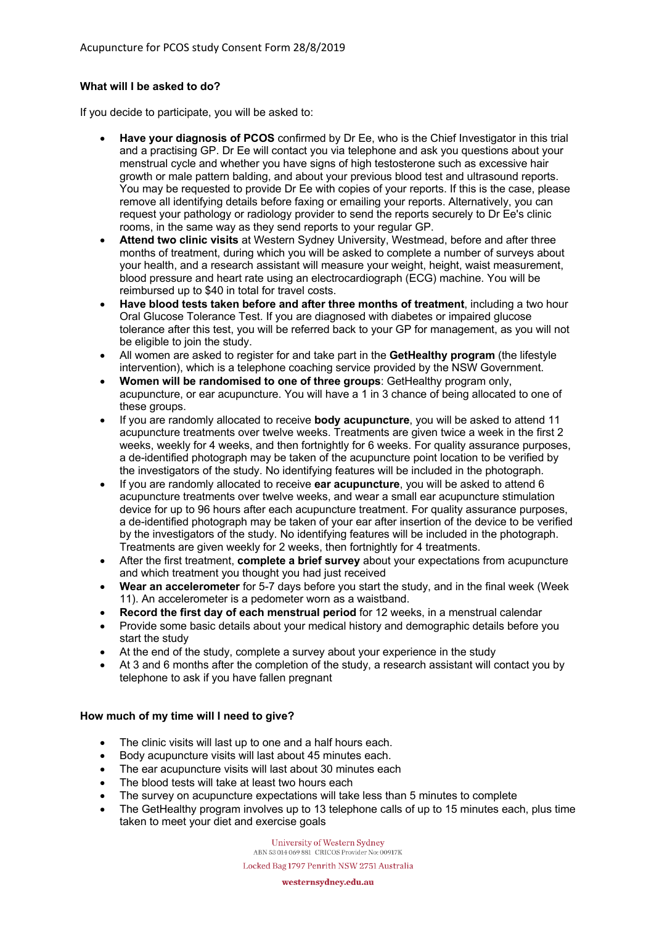# **What will I be asked to do?**

If you decide to participate, you will be asked to:

- **Have your diagnosis of PCOS** confirmed by Dr Ee, who is the Chief Investigator in this trial and a practising GP. Dr Ee will contact you via telephone and ask you questions about your menstrual cycle and whether you have signs of high testosterone such as excessive hair growth or male pattern balding, and about your previous blood test and ultrasound reports. You may be requested to provide Dr Ee with copies of your reports. If this is the case, please remove all identifying details before faxing or emailing your reports. Alternatively, you can request your pathology or radiology provider to send the reports securely to Dr Ee's clinic rooms, in the same way as they send reports to your regular GP.
- **Attend two clinic visits** at Western Sydney University, Westmead, before and after three months of treatment, during which you will be asked to complete a number of surveys about your health, and a research assistant will measure your weight, height, waist measurement, blood pressure and heart rate using an electrocardiograph (ECG) machine. You will be reimbursed up to \$40 in total for travel costs.
- **Have blood tests taken before and after three months of treatment**, including a two hour Oral Glucose Tolerance Test. If you are diagnosed with diabetes or impaired glucose tolerance after this test, you will be referred back to your GP for management, as you will not be eligible to join the study.
- All women are asked to register for and take part in the **GetHealthy program** (the lifestyle intervention), which is a telephone coaching service provided by the NSW Government.
- **Women will be randomised to one of three groups**: GetHealthy program only, acupuncture, or ear acupuncture. You will have a 1 in 3 chance of being allocated to one of these groups.
- If you are randomly allocated to receive **body acupuncture**, you will be asked to attend 11 acupuncture treatments over twelve weeks. Treatments are given twice a week in the first 2 weeks, weekly for 4 weeks, and then fortnightly for 6 weeks. For quality assurance purposes, a de-identified photograph may be taken of the acupuncture point location to be verified by the investigators of the study. No identifying features will be included in the photograph.
- If you are randomly allocated to receive **ear acupuncture**, you will be asked to attend 6 acupuncture treatments over twelve weeks, and wear a small ear acupuncture stimulation device for up to 96 hours after each acupuncture treatment. For quality assurance purposes, a de-identified photograph may be taken of your ear after insertion of the device to be verified by the investigators of the study. No identifying features will be included in the photograph. Treatments are given weekly for 2 weeks, then fortnightly for 4 treatments.
- After the first treatment, **complete a brief survey** about your expectations from acupuncture and which treatment you thought you had just received
- **Wear an accelerometer** for 5-7 days before you start the study, and in the final week (Week 11). An accelerometer is a pedometer worn as a waistband.
- **Record the first day of each menstrual period** for 12 weeks, in a menstrual calendar
- Provide some basic details about your medical history and demographic details before you start the study
- At the end of the study, complete a survey about your experience in the study
- At 3 and 6 months after the completion of the study, a research assistant will contact you by telephone to ask if you have fallen pregnant

# **How much of my time will I need to give?**

- The clinic visits will last up to one and a half hours each.
- Body acupuncture visits will last about 45 minutes each.
- The ear acupuncture visits will last about 30 minutes each
- The blood tests will take at least two hours each
- The survey on acupuncture expectations will take less than 5 minutes to complete
- The GetHealthy program involves up to 13 telephone calls of up to 15 minutes each, plus time taken to meet your diet and exercise goals

University of Western Sydney ABN 53 014 069 881 CRICOS Provider No: 00917K Locked Bag 1797 Penrith NSW 2751 Australia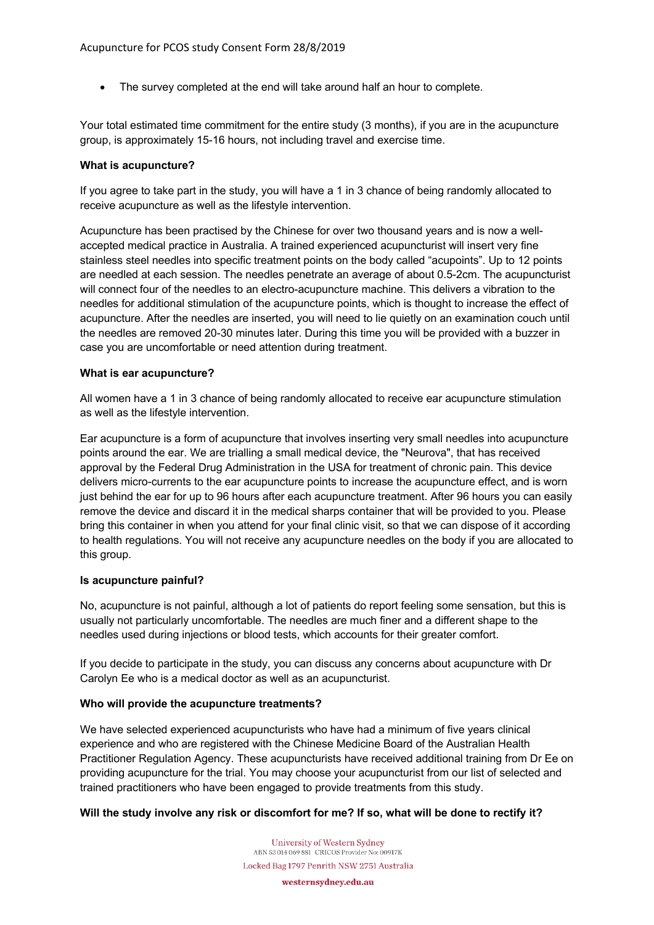• The survey completed at the end will take around half an hour to complete.

Your total estimated time commitment for the entire study (3 months), if you are in the acupuncture group, is approximately 15-16 hours, not including travel and exercise time.

#### **What is acupuncture?**

If you agree to take part in the study, you will have a 1 in 3 chance of being randomly allocated to receive acupuncture as well as the lifestyle intervention.

Acupuncture has been practised by the Chinese for over two thousand years and is now a wellaccepted medical practice in Australia. A trained experienced acupuncturist will insert very fine stainless steel needles into specific treatment points on the body called "acupoints". Up to 12 points are needled at each session. The needles penetrate an average of about 0.5-2cm. The acupuncturist will connect four of the needles to an electro-acupuncture machine. This delivers a vibration to the needles for additional stimulation of the acupuncture points, which is thought to increase the effect of acupuncture. After the needles are inserted, you will need to lie quietly on an examination couch until the needles are removed 20-30 minutes later. During this time you will be provided with a buzzer in case you are uncomfortable or need attention during treatment.

#### **What is ear acupuncture?**

All women have a 1 in 3 chance of being randomly allocated to receive ear acupuncture stimulation as well as the lifestyle intervention.

Ear acupuncture is a form of acupuncture that involves inserting very small needles into acupuncture points around the ear. We are trialling a small medical device, the "Neurova", that has received approval by the Federal Drug Administration in the USA for treatment of chronic pain. This device delivers micro-currents to the ear acupuncture points to increase the acupuncture effect, and is worn just behind the ear for up to 96 hours after each acupuncture treatment. After 96 hours you can easily remove the device and discard it in the medical sharps container that will be provided to you. Please bring this container in when you attend for your final clinic visit, so that we can dispose of it according to health regulations. You will not receive any acupuncture needles on the body if you are allocated to this group.

#### **Is acupuncture painful?**

No, acupuncture is not painful, although a lot of patients do report feeling some sensation, but this is usually not particularly uncomfortable. The needles are much finer and a different shape to the needles used during injections or blood tests, which accounts for their greater comfort.

If you decide to participate in the study, you can discuss any concerns about acupuncture with Dr Carolyn Ee who is a medical doctor as well as an acupuncturist.

# **Who will provide the acupuncture treatments?**

We have selected experienced acupuncturists who have had a minimum of five years clinical experience and who are registered with the Chinese Medicine Board of the Australian Health Practitioner Regulation Agency. These acupuncturists have received additional training from Dr Ee on providing acupuncture for the trial. You may choose your acupuncturist from our list of selected and trained practitioners who have been engaged to provide treatments from this study.

#### **Will the study involve any risk or discomfort for me? If so, what will be done to rectify it?**

University of Western Sydney ABN 53 014 069 881 CRICOS Provider No: 00917K Locked Bag 1797 Penrith NSW 2751 Australia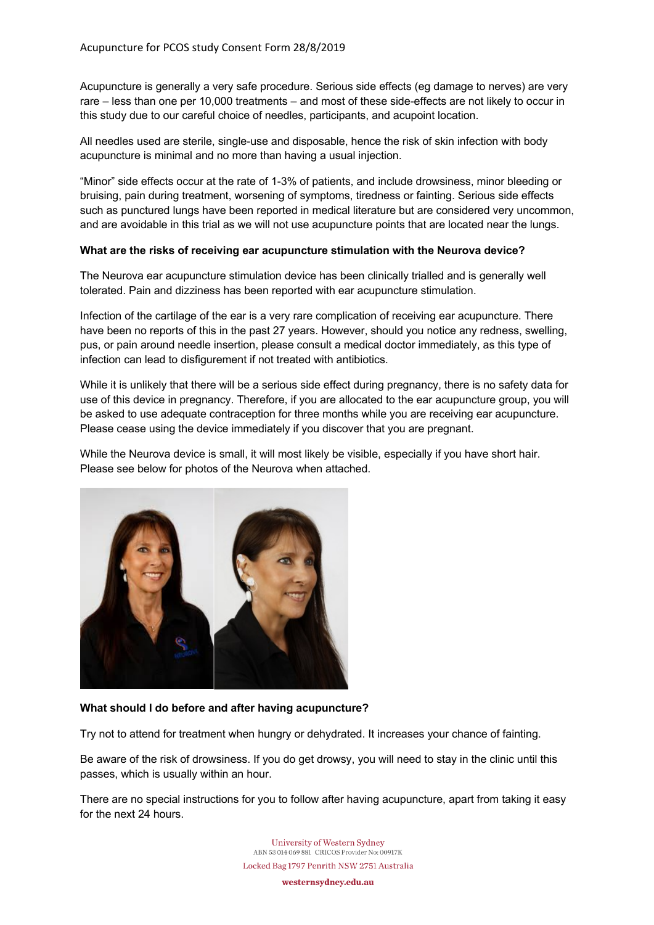Acupuncture is generally a very safe procedure. Serious side effects (eg damage to nerves) are very rare – less than one per 10,000 treatments – and most of these side-effects are not likely to occur in this study due to our careful choice of needles, participants, and acupoint location.

All needles used are sterile, single-use and disposable, hence the risk of skin infection with body acupuncture is minimal and no more than having a usual injection.

"Minor" side effects occur at the rate of 1-3% of patients, and include drowsiness, minor bleeding or bruising, pain during treatment, worsening of symptoms, tiredness or fainting. Serious side effects such as punctured lungs have been reported in medical literature but are considered very uncommon, and are avoidable in this trial as we will not use acupuncture points that are located near the lungs.

#### **What are the risks of receiving ear acupuncture stimulation with the Neurova device?**

The Neurova ear acupuncture stimulation device has been clinically trialled and is generally well tolerated. Pain and dizziness has been reported with ear acupuncture stimulation.

Infection of the cartilage of the ear is a very rare complication of receiving ear acupuncture. There have been no reports of this in the past 27 years. However, should you notice any redness, swelling, pus, or pain around needle insertion, please consult a medical doctor immediately, as this type of infection can lead to disfigurement if not treated with antibiotics.

While it is unlikely that there will be a serious side effect during pregnancy, there is no safety data for use of this device in pregnancy. Therefore, if you are allocated to the ear acupuncture group, you will be asked to use adequate contraception for three months while you are receiving ear acupuncture. Please cease using the device immediately if you discover that you are pregnant.

While the Neurova device is small, it will most likely be visible, especially if you have short hair. Please see below for photos of the Neurova when attached.



# **What should I do before and after having acupuncture?**

Try not to attend for treatment when hungry or dehydrated. It increases your chance of fainting.

Be aware of the risk of drowsiness. If you do get drowsy, you will need to stay in the clinic until this passes, which is usually within an hour.

There are no special instructions for you to follow after having acupuncture, apart from taking it easy for the next 24 hours.

> **University of Western Sydney** ABN 53 014 069 881 CRICOS Provider No: 00917K Locked Bag 1797 Penrith NSW 2751 Australia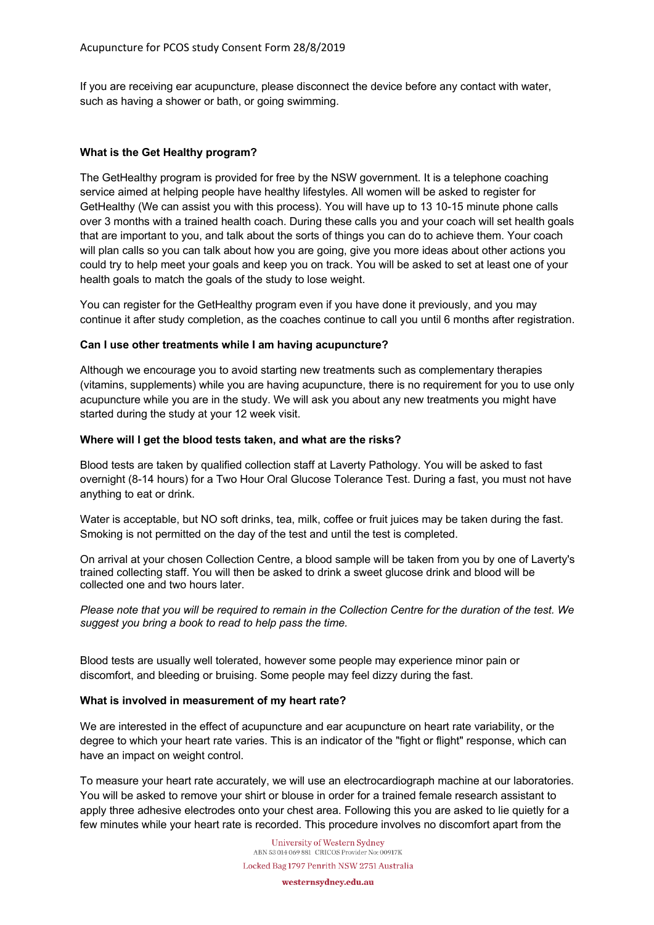If you are receiving ear acupuncture, please disconnect the device before any contact with water, such as having a shower or bath, or going swimming.

# **What is the Get Healthy program?**

The GetHealthy program is provided for free by the NSW government. It is a telephone coaching service aimed at helping people have healthy lifestyles. All women will be asked to register for GetHealthy (We can assist you with this process). You will have up to 13 10-15 minute phone calls over 3 months with a trained health coach. During these calls you and your coach will set health goals that are important to you, and talk about the sorts of things you can do to achieve them. Your coach will plan calls so you can talk about how you are going, give you more ideas about other actions you could try to help meet your goals and keep you on track. You will be asked to set at least one of your health goals to match the goals of the study to lose weight.

You can register for the GetHealthy program even if you have done it previously, and you may continue it after study completion, as the coaches continue to call you until 6 months after registration.

### **Can I use other treatments while I am having acupuncture?**

Although we encourage you to avoid starting new treatments such as complementary therapies (vitamins, supplements) while you are having acupuncture, there is no requirement for you to use only acupuncture while you are in the study. We will ask you about any new treatments you might have started during the study at your 12 week visit.

#### **Where will I get the blood tests taken, and what are the risks?**

Blood tests are taken by qualified collection staff at Laverty Pathology. You will be asked to fast overnight (8-14 hours) for a Two Hour Oral Glucose Tolerance Test. During a fast, you must not have anything to eat or drink.

Water is acceptable, but NO soft drinks, tea, milk, coffee or fruit juices may be taken during the fast. Smoking is not permitted on the day of the test and until the test is completed.

On arrival at your chosen Collection Centre, a blood sample will be taken from you by one of Laverty's trained collecting staff. You will then be asked to drink a sweet glucose drink and blood will be collected one and two hours later.

*Please note that you will be required to remain in the Collection Centre for the duration of the test. We suggest you bring a book to read to help pass the time.* 

Blood tests are usually well tolerated, however some people may experience minor pain or discomfort, and bleeding or bruising. Some people may feel dizzy during the fast.

#### **What is involved in measurement of my heart rate?**

We are interested in the effect of acupuncture and ear acupuncture on heart rate variability, or the degree to which your heart rate varies. This is an indicator of the "fight or flight" response, which can have an impact on weight control.

To measure your heart rate accurately, we will use an electrocardiograph machine at our laboratories. You will be asked to remove your shirt or blouse in order for a trained female research assistant to apply three adhesive electrodes onto your chest area. Following this you are asked to lie quietly for a few minutes while your heart rate is recorded. This procedure involves no discomfort apart from the

> University of Western Sydney ABN 53 014 069 881 CRICOS Provider No: 00917K Locked Bag 1797 Penrith NSW 2751 Australia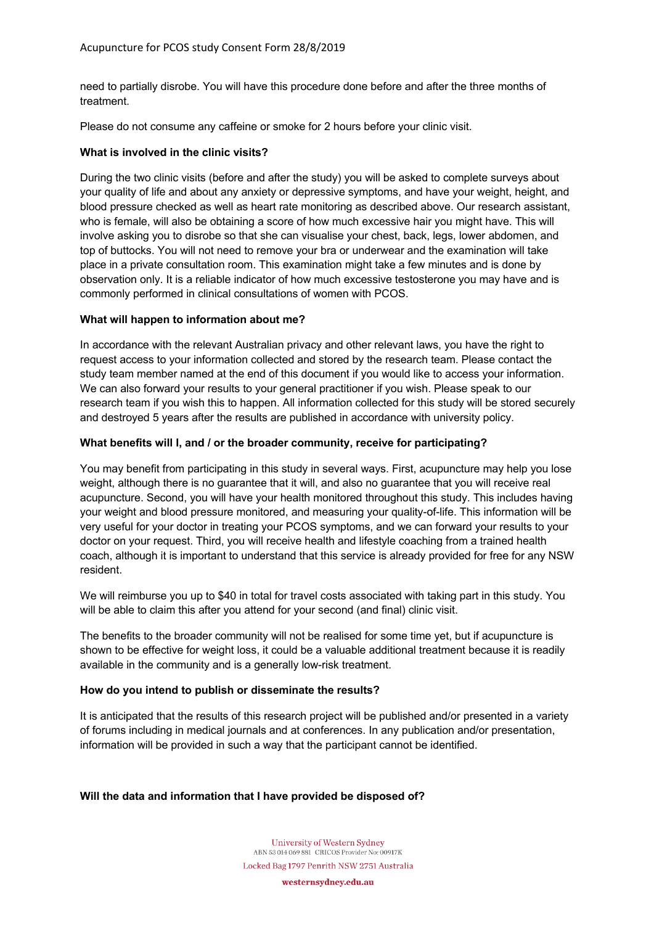need to partially disrobe. You will have this procedure done before and after the three months of treatment.

Please do not consume any caffeine or smoke for 2 hours before your clinic visit.

# **What is involved in the clinic visits?**

During the two clinic visits (before and after the study) you will be asked to complete surveys about your quality of life and about any anxiety or depressive symptoms, and have your weight, height, and blood pressure checked as well as heart rate monitoring as described above. Our research assistant, who is female, will also be obtaining a score of how much excessive hair you might have. This will involve asking you to disrobe so that she can visualise your chest, back, legs, lower abdomen, and top of buttocks. You will not need to remove your bra or underwear and the examination will take place in a private consultation room. This examination might take a few minutes and is done by observation only. It is a reliable indicator of how much excessive testosterone you may have and is commonly performed in clinical consultations of women with PCOS.

### **What will happen to information about me?**

In accordance with the relevant Australian privacy and other relevant laws, you have the right to request access to your information collected and stored by the research team. Please contact the study team member named at the end of this document if you would like to access your information. We can also forward your results to your general practitioner if you wish. Please speak to our research team if you wish this to happen. All information collected for this study will be stored securely and destroyed 5 years after the results are published in accordance with university policy.

### **What benefits will I, and / or the broader community, receive for participating?**

You may benefit from participating in this study in several ways. First, acupuncture may help you lose weight, although there is no guarantee that it will, and also no guarantee that you will receive real acupuncture. Second, you will have your health monitored throughout this study. This includes having your weight and blood pressure monitored, and measuring your quality-of-life. This information will be very useful for your doctor in treating your PCOS symptoms, and we can forward your results to your doctor on your request. Third, you will receive health and lifestyle coaching from a trained health coach, although it is important to understand that this service is already provided for free for any NSW resident.

We will reimburse you up to \$40 in total for travel costs associated with taking part in this study. You will be able to claim this after you attend for your second (and final) clinic visit.

The benefits to the broader community will not be realised for some time yet, but if acupuncture is shown to be effective for weight loss, it could be a valuable additional treatment because it is readily available in the community and is a generally low-risk treatment.

#### **How do you intend to publish or disseminate the results?**

It is anticipated that the results of this research project will be published and/or presented in a variety of forums including in medical journals and at conferences. In any publication and/or presentation, information will be provided in such a way that the participant cannot be identified.

# **Will the data and information that I have provided be disposed of?**

University of Western Sydney ABN 53 014 069 881 CRICOS Provider No: 00917K Locked Bag 1797 Penrith NSW 2751 Australia